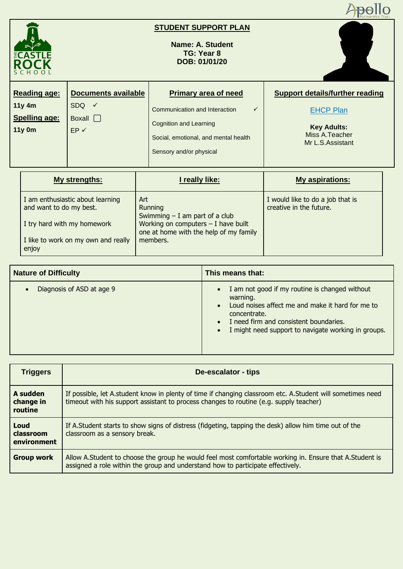

## **STUDENT SUPPORT PLAN**

**Name: A. Student TG: Year 8 DOB: 01/01/20**



| <b>Reading age:</b>              | <b>Documents available</b> | <b>Primary area of need</b>                                                               | <b>Support details/further reading</b>                     |
|----------------------------------|----------------------------|-------------------------------------------------------------------------------------------|------------------------------------------------------------|
| $11y$ 4m<br><b>Spelling age:</b> | $SDQ \tV$<br>Boxall        | Communication and Interaction<br>$\checkmark$                                             | <b>EHCP Plan</b>                                           |
| 11y 0m                           | $EP \checkmark$            | Cognition and Learning<br>Social, emotional, and mental health<br>Sensory and/or physical | <b>Key Adults:</b><br>Miss A. Teacher<br>Mr L.S. Assistant |

| My strengths:                                               | I really like:                                                                  | <b>My aspirations:</b>                                      |
|-------------------------------------------------------------|---------------------------------------------------------------------------------|-------------------------------------------------------------|
| I am enthusiastic about learning<br>and want to do my best. | Art<br>Running<br>Swimming $- I$ am part of a club                              | I would like to do a job that is<br>creative in the future. |
| I try hard with my homework                                 | Working on computers $-$ I have built<br>one at home with the help of my family |                                                             |
| I like to work on my own and really<br>enjoy                | members.                                                                        |                                                             |

| <b>Nature of Difficulty</b>            | This means that:                                                                                                                                                                                                                                                                    |
|----------------------------------------|-------------------------------------------------------------------------------------------------------------------------------------------------------------------------------------------------------------------------------------------------------------------------------------|
| Diagnosis of ASD at age 9<br>$\bullet$ | I am not good if my routine is changed without<br>$\bullet$<br>warning.<br>Loud noises affect me and make it hard for me to<br>$\bullet$<br>concentrate.<br>I need firm and consistent boundaries.<br>$\bullet$<br>I might need support to navigate working in groups.<br>$\bullet$ |

| <b>Triggers</b>                  | De-escalator - tips                                                                                                                                                                                  |
|----------------------------------|------------------------------------------------------------------------------------------------------------------------------------------------------------------------------------------------------|
| A sudden<br>change in<br>routine | If possible, let A.student know in plenty of time if changing classroom etc. A.Student will sometimes need<br>timeout with his support assistant to process changes to routine (e.g. supply teacher) |
| Loud<br>classroom<br>environment | If A. Student starts to show signs of distress (fidgeting, tapping the desk) allow him time out of the<br>classroom as a sensory break.                                                              |
| <b>Group work</b>                | Allow A. Student to choose the group he would feel most comfortable working in. Ensure that A. Student is<br>assigned a role within the group and understand how to participate effectively.         |